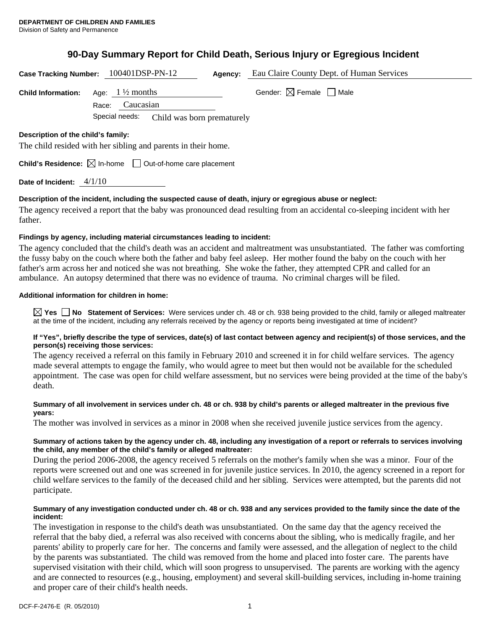# **90-Day Summary Report for Child Death, Serious Injury or Egregious Incident**

|                                                                                                     | Case Tracking Number: 100401DSP-PN-12                                                            | Agency: | Eau Claire County Dept. of Human Services |  |
|-----------------------------------------------------------------------------------------------------|--------------------------------------------------------------------------------------------------|---------|-------------------------------------------|--|
| <b>Child Information:</b>                                                                           | Age: $1\frac{1}{2}$ months<br>Caucasian<br>Race:<br>Special needs:<br>Child was born prematurely |         | Gender: $\boxtimes$ Female $\Box$ Male    |  |
| Description of the child's family:<br>The child resided with her sibling and parents in their home. |                                                                                                  |         |                                           |  |
| <b>Child's Residence:</b> $\boxtimes$ In-home $\Box$ Out-of-home care placement                     |                                                                                                  |         |                                           |  |
| Date of Incident: $4/1/10$                                                                          |                                                                                                  |         |                                           |  |

# **Description of the incident, including the suspected cause of death, injury or egregious abuse or neglect:**

The agency received a report that the baby was pronounced dead resulting from an accidental co-sleeping incident with her father.

# **Findings by agency, including material circumstances leading to incident:**

The agency concluded that the child's death was an accident and maltreatment was unsubstantiated. The father was comforting the fussy baby on the couch where both the father and baby feel asleep. Her mother found the baby on the couch with her father's arm across her and noticed she was not breathing. She woke the father, they attempted CPR and called for an ambulance. An autopsy determined that there was no evidence of trauma. No criminal charges will be filed.

# **Additional information for children in home:**

**Yes No** Statement of Services: Were services under ch. 48 or ch. 938 being provided to the child, family or alleged maltreater at the time of the incident, including any referrals received by the agency or reports being investigated at time of incident?

## **If "Yes", briefly describe the type of services, date(s) of last contact between agency and recipient(s) of those services, and the person(s) receiving those services:**

The agency received a referral on this family in February 2010 and screened it in for child welfare services. The agency made several attempts to engage the family, who would agree to meet but then would not be available for the scheduled appointment. The case was open for child welfare assessment, but no services were being provided at the time of the baby's death.

# **Summary of all involvement in services under ch. 48 or ch. 938 by child's parents or alleged maltreater in the previous five years:**

The mother was involved in services as a minor in 2008 when she received juvenile justice services from the agency.

# **Summary of actions taken by the agency under ch. 48, including any investigation of a report or referrals to services involving the child, any member of the child's family or alleged maltreater:**

During the period 2006-2008, the agency received 5 referrals on the mother's family when she was a minor. Four of the reports were screened out and one was screened in for juvenile justice services. In 2010, the agency screened in a report for child welfare services to the family of the deceased child and her sibling. Services were attempted, but the parents did not participate.

## **Summary of any investigation conducted under ch. 48 or ch. 938 and any services provided to the family since the date of the incident:**

The investigation in response to the child's death was unsubstantiated. On the same day that the agency received the referral that the baby died, a referral was also received with concerns about the sibling, who is medically fragile, and her parents' ability to properly care for her. The concerns and family were assessed, and the allegation of neglect to the child by the parents was substantiated. The child was removed from the home and placed into foster care. The parents have supervised visitation with their child, which will soon progress to unsupervised. The parents are working with the agency and are connected to resources (e.g., housing, employment) and several skill-building services, including in-home training and proper care of their child's health needs.